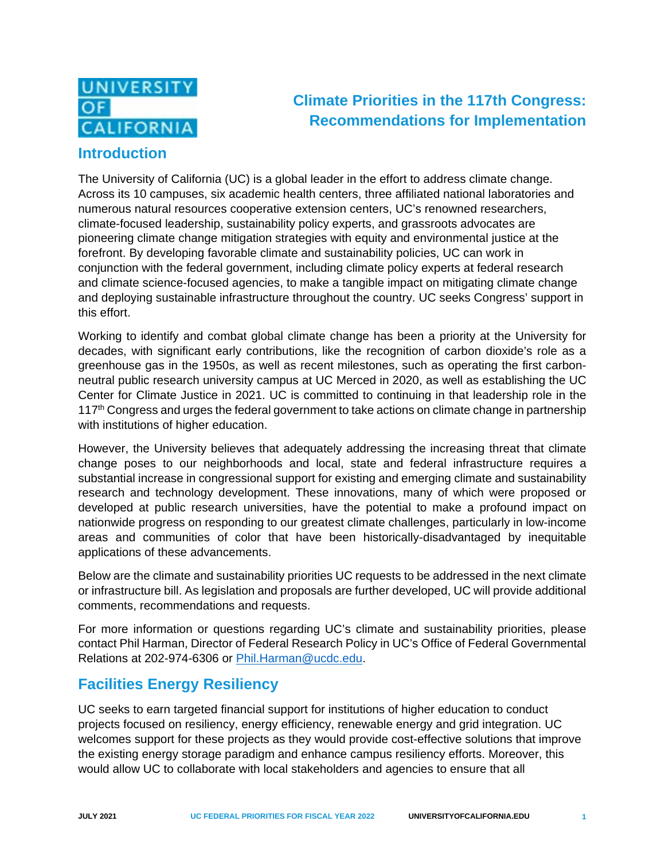

# **Climate Priorities in the 117th Congress: Recommendations for Implementation**

## **Introduction**

The University of California (UC) is a global leader in the effort to address climate change. Across its 10 campuses, six academic health centers, three affiliated national laboratories and numerous natural resources cooperative extension centers, UC's renowned researchers, climate-focused leadership, sustainability policy experts, and grassroots advocates are pioneering climate change mitigation strategies with equity and environmental justice at the forefront. By developing favorable climate and sustainability policies, UC can work in conjunction with the federal government, including climate policy experts at federal research and climate science-focused agencies, to make a tangible impact on mitigating climate change and deploying sustainable infrastructure throughout the country. UC seeks Congress' support in this effort.

Working to identify and combat global climate change has been a priority at the University for decades, with significant early contributions, like the recognition of carbon dioxide's role as a greenhouse gas in the 1950s, as well as recent milestones, such as operating the first carbonneutral public research university campus at UC Merced in 2020, as well as establishing the UC Center for Climate Justice in 2021. UC is committed to continuing in that leadership role in the  $117<sup>th</sup>$  Congress and urges the federal government to take actions on climate change in partnership with institutions of higher education.

However, the University believes that adequately addressing the increasing threat that climate change poses to our neighborhoods and local, state and federal infrastructure requires a substantial increase in congressional support for existing and emerging climate and sustainability research and technology development. These innovations, many of which were proposed or developed at public research universities, have the potential to make a profound impact on nationwide progress on responding to our greatest climate challenges, particularly in low-income areas and communities of color that have been historically-disadvantaged by inequitable applications of these advancements.

Below are the climate and sustainability priorities UC requests to be addressed in the next climate or infrastructure bill. As legislation and proposals are further developed, UC will provide additional comments, recommendations and requests.

For more information or questions regarding UC's climate and sustainability priorities, please contact Phil Harman, Director of Federal Research Policy in UC's Office of Federal Governmental Relations at 202-974-6306 or [Phil.Harman@ucdc.edu.](mailto:Phil.Harman@ucdc.edu)

# **Facilities Energy Resiliency**

UC seeks to earn targeted financial support for institutions of higher education to conduct projects focused on resiliency, energy efficiency, renewable energy and grid integration. UC welcomes support for these projects as they would provide cost-effective solutions that improve the existing energy storage paradigm and enhance campus resiliency efforts. Moreover, this would allow UC to collaborate with local stakeholders and agencies to ensure that all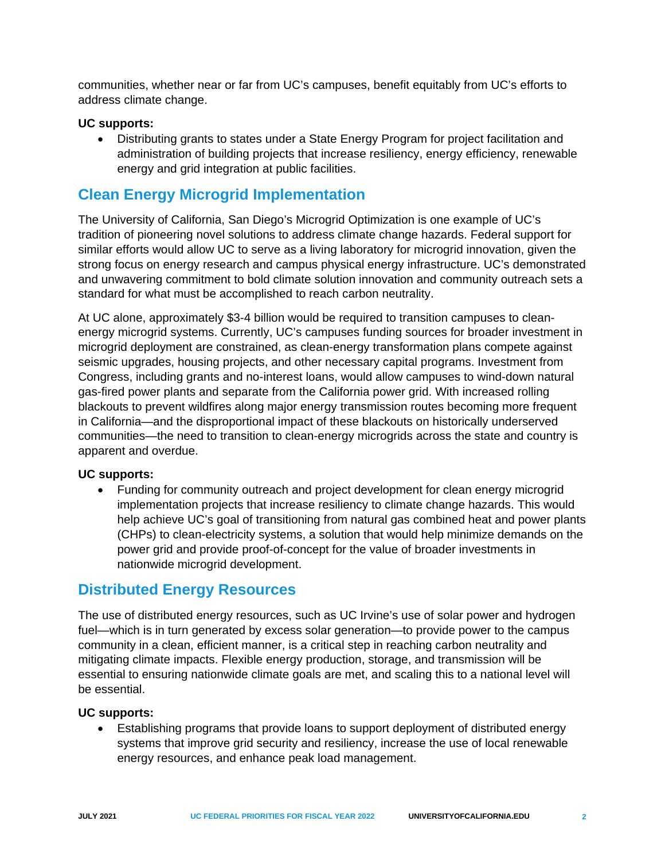communities, whether near or far from UC's campuses, benefit equitably from UC's efforts to address climate change.

#### **UC supports:**

• Distributing grants to states under a State Energy Program for project facilitation and administration of building projects that increase resiliency, energy efficiency, renewable energy and grid integration at public facilities.

## **Clean Energy Microgrid Implementation**

The University of California, San Diego's Microgrid Optimization is one example of UC's tradition of pioneering novel solutions to address climate change hazards. Federal support for similar efforts would allow UC to serve as a living laboratory for microgrid innovation, given the strong focus on energy research and campus physical energy infrastructure. UC's demonstrated and unwavering commitment to bold climate solution innovation and community outreach sets a standard for what must be accomplished to reach carbon neutrality.

At UC alone, approximately \$3-4 billion would be required to transition campuses to cleanenergy microgrid systems. Currently, UC's campuses funding sources for broader investment in microgrid deployment are constrained, as clean-energy transformation plans compete against seismic upgrades, housing projects, and other necessary capital programs. Investment from Congress, including grants and no-interest loans, would allow campuses to wind-down natural gas-fired power plants and separate from the California power grid. With increased rolling blackouts to prevent wildfires along major energy transmission routes becoming more frequent in California—and the disproportional impact of these blackouts on historically underserved communities—the need to transition to clean-energy microgrids across the state and country is apparent and overdue.

### **UC supports:**

• Funding for community outreach and project development for clean energy microgrid implementation projects that increase resiliency to climate change hazards. This would help achieve UC's goal of transitioning from natural gas combined heat and power plants (CHPs) to clean-electricity systems, a solution that would help minimize demands on the power grid and provide proof-of-concept for the value of broader investments in nationwide microgrid development.

### **Distributed Energy Resources**

The use of distributed energy resources, such as UC Irvine's use of solar power and hydrogen fuel—which is in turn generated by excess solar generation—to provide power to the campus community in a clean, efficient manner, is a critical step in reaching carbon neutrality and mitigating climate impacts. Flexible energy production, storage, and transmission will be essential to ensuring nationwide climate goals are met, and scaling this to a national level will be essential.

### **UC supports:**

• Establishing programs that provide loans to support deployment of distributed energy systems that improve grid security and resiliency, increase the use of local renewable energy resources, and enhance peak load management.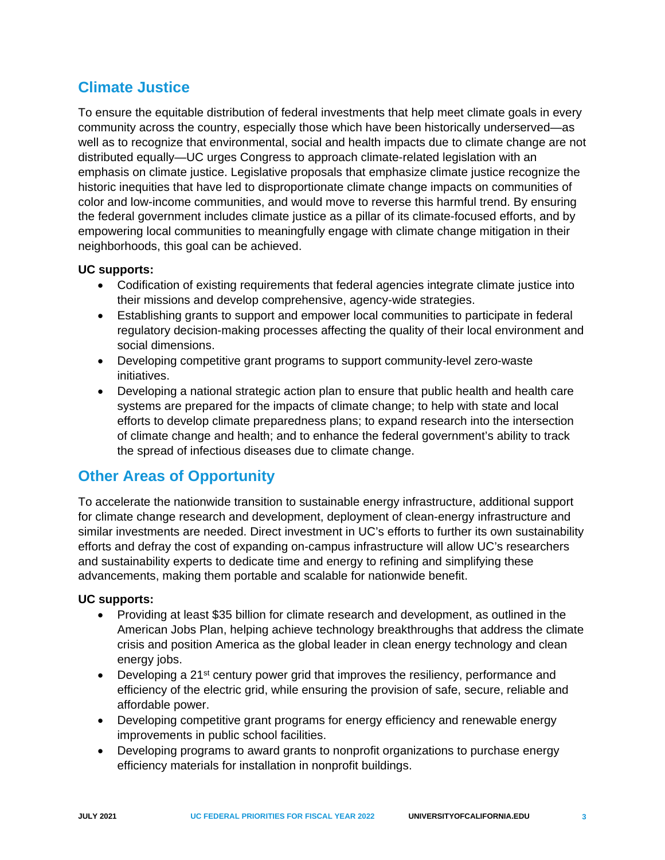# **Climate Justice**

To ensure the equitable distribution of federal investments that help meet climate goals in every community across the country, especially those which have been historically underserved—as well as to recognize that environmental, social and health impacts due to climate change are not distributed equally—UC urges Congress to approach climate-related legislation with an emphasis on climate justice. Legislative proposals that emphasize climate justice recognize the historic inequities that have led to disproportionate climate change impacts on communities of color and low-income communities, and would move to reverse this harmful trend. By ensuring the federal government includes climate justice as a pillar of its climate-focused efforts, and by empowering local communities to meaningfully engage with climate change mitigation in their neighborhoods, this goal can be achieved.

### **UC supports:**

- Codification of existing requirements that federal agencies integrate climate justice into their missions and develop comprehensive, agency-wide strategies.
- Establishing grants to support and empower local communities to participate in federal regulatory decision-making processes affecting the quality of their local environment and social dimensions.
- Developing competitive grant programs to support community-level zero-waste initiatives.
- Developing a national strategic action plan to ensure that public health and health care systems are prepared for the impacts of climate change; to help with state and local efforts to develop climate preparedness plans; to expand research into the intersection of climate change and health; and to enhance the federal government's ability to track the spread of infectious diseases due to climate change.

## **Other Areas of Opportunity**

To accelerate the nationwide transition to sustainable energy infrastructure, additional support for climate change research and development, deployment of clean-energy infrastructure and similar investments are needed. Direct investment in UC's efforts to further its own sustainability efforts and defray the cost of expanding on-campus infrastructure will allow UC's researchers and sustainability experts to dedicate time and energy to refining and simplifying these advancements, making them portable and scalable for nationwide benefit.

### **UC supports:**

- Providing at least \$35 billion for climate research and development, as outlined in the American Jobs Plan, helping achieve technology breakthroughs that address the climate crisis and position America as the global leader in clean energy technology and clean energy jobs.
- Developing a 21<sup>st</sup> century power grid that improves the resiliency, performance and efficiency of the electric grid, while ensuring the provision of safe, secure, reliable and affordable power.
- Developing competitive grant programs for energy efficiency and renewable energy improvements in public school facilities.
- Developing programs to award grants to nonprofit organizations to purchase energy efficiency materials for installation in nonprofit buildings.